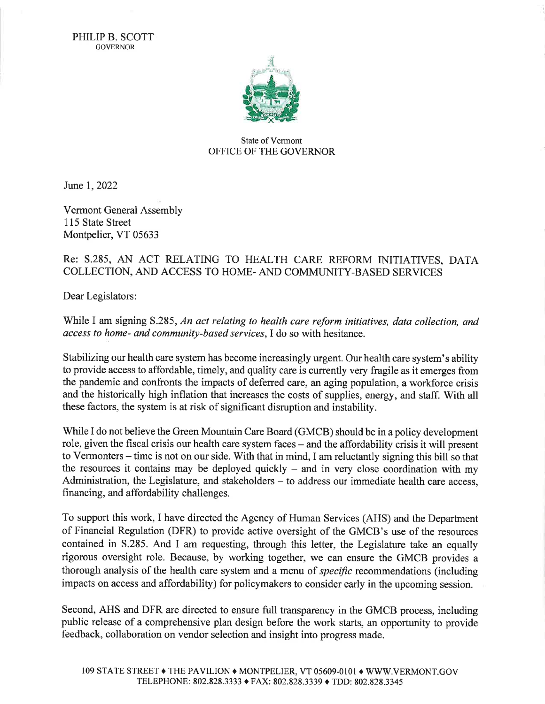

## State of Vermont OFFICE OF THE GOVERNOR

June I,2022

Vermont General Assembly <sup>1</sup>15 State Street Montpelier, VT 05633

## Re: 5.285, AN ACT RELATING TO HEALTH CARE REFORM INITIATIVES, DATA COLLECTION, AND ACCESS TO HOME- AND COMMUNITY.BASED SERVICES

Dear Legislators:

While I am signing S.285, An act relating to health care reform initiatives, data collection, and access to home- and community-based services, I do so with hesitance.

Stabilizing our health care system has become increasingly urgent. Our health care system's ability to provide access to affordable, timely, and quality care is currently very fragile as it emerges from the pandemic and confronts the impacts of deferred care, an aging population, a workforce crisis and the historically high inflation that increases the costs of supplies, energy, and staff. With all these factors, the system is at risk of significant disruption and instability.

While I do not believe the Green Mountain Care Board (GMCB) should be in a policy development role, given the fiscal crisis our health care system faces - and the affordability crisis it will present to Vermonters – time is not on our side. With that in mind, I am reluctantly signing this bill so that the resources it contains may be deployed quickly  $-$  and in very close coordination with my Administration, the Legislature, and stakeholders  $-$  to address our immediate health care access. financing, and affordability challenges.

To support this work, I have directed the Agency of Human Services (AHS) and the Department of Financial Regulation (DFR) to provide active oversight of the GMCB's use of the resources contained in 5.285. And I am requesting, through this letter, the Legislature take an equally rigorous oversight role. Because, by working together, we can ensure the GMCB provides a thorough analysis of the health care system and a menu of specific recommendations (including impacts on access and affordability) for policymakers to consider early in the upcoming session.

Second, AHS and DFR are directed to ensure full transparency in the GMCB process, including public release of a comprehensive plan design before the work starts, an opportunity to provide feedback, collaboration on vendor selection and insight into progress made.